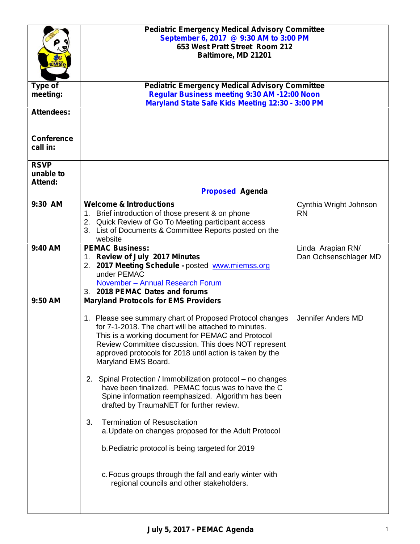|                                     | <b>Pediatric Emergency Medical Advisory Committee</b><br>September 6, 2017 @ 9:30 AM to 3:00 PM<br>653 West Pratt Street Room 212<br>Baltimore, MD 21201                                                                                                                                                         |                                     |
|-------------------------------------|------------------------------------------------------------------------------------------------------------------------------------------------------------------------------------------------------------------------------------------------------------------------------------------------------------------|-------------------------------------|
| Type of                             | <b>Pediatric Emergency Medical Advisory Committee</b>                                                                                                                                                                                                                                                            |                                     |
| meeting:                            | Regular Business meeting 9:30 AM -12:00 Noon                                                                                                                                                                                                                                                                     |                                     |
| <b>Attendees:</b>                   | Maryland State Safe Kids Meeting 12:30 - 3:00 PM                                                                                                                                                                                                                                                                 |                                     |
|                                     |                                                                                                                                                                                                                                                                                                                  |                                     |
| <b>Conference</b><br>call in:       |                                                                                                                                                                                                                                                                                                                  |                                     |
| <b>RSVP</b><br>unable to<br>Attend: |                                                                                                                                                                                                                                                                                                                  |                                     |
|                                     | <b>Proposed Agenda</b>                                                                                                                                                                                                                                                                                           |                                     |
| 9:30 AM                             | <b>Welcome &amp; Introductions</b><br>1. Brief introduction of those present & on phone<br>2. Quick Review of Go To Meeting participant access<br>3. List of Documents & Committee Reports posted on the<br>website                                                                                              | Cynthia Wright Johnson<br><b>RN</b> |
| 9:40 AM                             | <b>PEMAC Business:</b>                                                                                                                                                                                                                                                                                           | Linda Arapian RN/                   |
|                                     | 1. Review of July 2017 Minutes<br>2. 2017 Meeting Schedule -posted www.miemss.org<br>under PEMAC<br>November - Annual Research Forum<br>3. 2018 PEMAC Dates and forums                                                                                                                                           | Dan Ochsenschlager MD               |
| 9:50 AM                             | <b>Maryland Protocols for EMS Providers</b>                                                                                                                                                                                                                                                                      |                                     |
|                                     | 1. Please see summary chart of Proposed Protocol changes<br>for 7-1-2018. The chart will be attached to minutes.<br>This is a working document for PEMAC and Protocol<br>Review Committee discussion. This does NOT represent<br>approved protocols for 2018 until action is taken by the<br>Maryland EMS Board. | Jennifer Anders MD                  |
|                                     | 2. Spinal Protection / Immobilization protocol – no changes<br>have been finalized. PEMAC focus was to have the C<br>Spine information reemphasized. Algorithm has been<br>drafted by TraumaNET for further review.                                                                                              |                                     |
|                                     | <b>Termination of Resuscitation</b><br>3.<br>a. Update on changes proposed for the Adult Protocol                                                                                                                                                                                                                |                                     |
|                                     | b. Pediatric protocol is being targeted for 2019                                                                                                                                                                                                                                                                 |                                     |
|                                     | c. Focus groups through the fall and early winter with<br>regional councils and other stakeholders.                                                                                                                                                                                                              |                                     |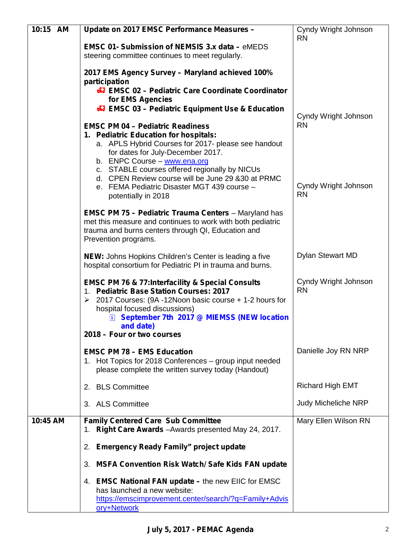| 10:15 AM | Update on 2017 EMSC Performance Measures -                                                                                                                                                                                                                                                                                          | Cyndy Wright Johnson              |
|----------|-------------------------------------------------------------------------------------------------------------------------------------------------------------------------------------------------------------------------------------------------------------------------------------------------------------------------------------|-----------------------------------|
|          | <b>EMSC 01- Submission of NEMSIS 3.x data - eMEDS</b><br>steering committee continues to meet regularly.                                                                                                                                                                                                                            | <b>RN</b>                         |
|          | 2017 EMS Agency Survey - Maryland achieved 100%<br>participation                                                                                                                                                                                                                                                                    |                                   |
|          | <b>EMSC 02 - Pediatric Care Coordinate Coordinator</b><br>for EMS Agencies                                                                                                                                                                                                                                                          |                                   |
|          | <b>47 EMSC 03 - Pediatric Equipment Use &amp; Education</b>                                                                                                                                                                                                                                                                         | Cyndy Wright Johnson<br><b>RN</b> |
|          | <b>EMSC PM 04 - Pediatric Readiness</b><br>1. Pediatric Education for hospitals:<br>a. APLS Hybrid Courses for 2017- please see handout<br>for dates for July-December 2017.<br>b. ENPC Course - www.ena.org<br>c. STABLE courses offered regionally by NICUs                                                                       |                                   |
|          | d. CPEN Review course will be June 29 & 30 at PRMC<br>e. FEMA Pediatric Disaster MGT 439 course -<br>potentially in 2018                                                                                                                                                                                                            | Cyndy Wright Johnson<br><b>RN</b> |
|          | <b>EMSC PM 75 - Pediatric Trauma Centers</b> - Maryland has<br>met this measure and continues to work with both pediatric<br>trauma and burns centers through QI, Education and<br>Prevention programs.                                                                                                                             |                                   |
|          | <b>NEW:</b> Johns Hopkins Children's Center is leading a five<br>hospital consortium for Pediatric PI in trauma and burns.                                                                                                                                                                                                          | Dylan Stewart MD                  |
|          | <b>EMSC PM 76 &amp; 77:Interfacility &amp; Special Consults</b><br>1. Pediatric Base Station Courses: 2017<br>2017 Courses: (9A -12Noon basic course + 1-2 hours for<br>➤<br>hospital focused discussions)<br>September 7th 2017 @ MIEMSS (NEW location<br>$\left  \overline{1} \right $<br>and date)<br>2018 – Four or two courses | Cyndy Wright Johnson<br><b>RN</b> |
|          | <b>EMSC PM 78 - EMS Education</b>                                                                                                                                                                                                                                                                                                   | Danielle Joy RN NRP               |
|          | 1. Hot Topics for 2018 Conferences - group input needed<br>please complete the written survey today (Handout)                                                                                                                                                                                                                       |                                   |
|          | 2. BLS Committee                                                                                                                                                                                                                                                                                                                    | <b>Richard High EMT</b>           |
|          | 3. ALS Committee                                                                                                                                                                                                                                                                                                                    | Judy Micheliche NRP               |
| 10:45 AM | <b>Family Centered Care Sub Committee</b><br>1. Right Care Awards - Awards presented May 24, 2017.                                                                                                                                                                                                                                  | Mary Ellen Wilson RN              |
|          | 2. Emergency Ready Family" project update                                                                                                                                                                                                                                                                                           |                                   |
|          | 3. MSFA Convention Risk Watch/ Safe Kids FAN update                                                                                                                                                                                                                                                                                 |                                   |
|          | 4. EMSC National FAN update - the new EIIC for EMSC<br>has launched a new website:<br>https://emscimprovement.center/search/?q=Family+Advis<br>ory+Network                                                                                                                                                                          |                                   |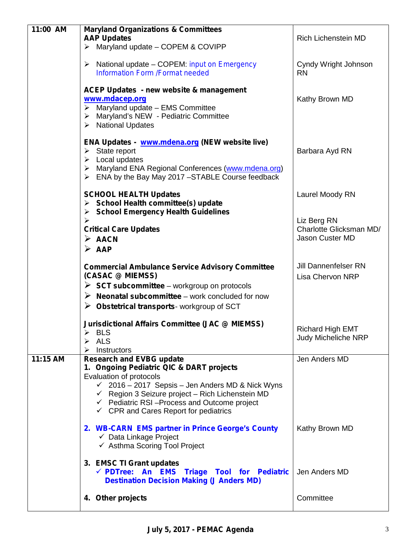| 11:00 AM | <b>Maryland Organizations &amp; Committees</b>                                                                                                                                                                                                                      |                                                        |
|----------|---------------------------------------------------------------------------------------------------------------------------------------------------------------------------------------------------------------------------------------------------------------------|--------------------------------------------------------|
|          | <b>AAP Updates</b><br>$\triangleright$ Maryland update - COPEM & COVIPP                                                                                                                                                                                             | <b>Rich Lichenstein MD</b>                             |
|          |                                                                                                                                                                                                                                                                     |                                                        |
|          | $\triangleright$ National update – COPEM: <i>input on Emergency</i><br><b>Information Form /Format needed</b>                                                                                                                                                       | Cyndy Wright Johnson<br><b>RN</b>                      |
|          | <b>ACEP Updates - new website &amp; management</b><br>www.mdacep.org<br>$\triangleright$ Maryland update - EMS Committee<br>> Maryland's NEW - Pediatric Committee<br>> National Updates                                                                            | Kathy Brown MD                                         |
|          | ENA Updates - www.mdena.org (NEW website live)<br>$\triangleright$ State report<br>$\triangleright$ Local updates<br>> Maryland ENA Regional Conferences (www.mdena.org)<br>$\triangleright$ ENA by the Bay May 2017 -STABLE Course feedback                        | Barbara Ayd RN                                         |
|          | <b>SCHOOL HEALTH Updates</b><br>$\triangleright$ School Health committee(s) update<br>> School Emergency Health Guidelines                                                                                                                                          | Laurel Moody RN                                        |
|          | $\blacktriangleright$                                                                                                                                                                                                                                               | Liz Berg RN                                            |
|          | <b>Critical Care Updates</b>                                                                                                                                                                                                                                        | Charlotte Glicksman MD/<br>Jason Custer MD             |
|          | $\triangleright$ AACN<br>$\triangleright$ AAP                                                                                                                                                                                                                       |                                                        |
|          |                                                                                                                                                                                                                                                                     |                                                        |
|          | <b>Commercial Ambulance Service Advisory Committee</b><br>(CASAC @ MIEMSS)                                                                                                                                                                                          | <b>Jill Dannenfelser RN</b><br><b>Lisa Chervon NRP</b> |
|          | $\triangleright$ SCT subcommittee – workgroup on protocols                                                                                                                                                                                                          |                                                        |
|          | $\triangleright$ Neonatal subcommittee – work concluded for now                                                                                                                                                                                                     |                                                        |
|          | $\triangleright$ Obstetrical transports-workgroup of SCT                                                                                                                                                                                                            |                                                        |
|          | <b>Jurisdictional Affairs Committee (JAC @ MIEMSS)</b><br><b>BLS</b><br>ALS<br>➤                                                                                                                                                                                    | <b>Richard High EMT</b><br><b>Judy Micheliche NRP</b>  |
|          | Instructors<br>➤                                                                                                                                                                                                                                                    |                                                        |
| 11:15 AM | <b>Research and EVBG update</b><br>1. Ongoing Pediatric QIC & DART projects                                                                                                                                                                                         | Jen Anders MD                                          |
|          | Evaluation of protocols<br>$\checkmark$ 2016 – 2017 Sepsis – Jen Anders MD & Nick Wyns<br>$\checkmark$ Region 3 Seizure project - Rich Lichenstein MD<br>$\checkmark$ Pediatric RSI-Process and Outcome project<br>$\checkmark$ CPR and Cares Report for pediatrics |                                                        |
|          | 2. WB-CARN EMS partner in Prince George's County<br>$\checkmark$ Data Linkage Project<br>← Asthma Scoring Tool Project                                                                                                                                              | Kathy Brown MD                                         |
|          | 3. EMSC TI Grant updates<br>√ PDTree: An EMS Triage Tool for Pediatric<br><b>Destination Decision Making (J Anders MD)</b>                                                                                                                                          | Jen Anders MD                                          |
|          | 4. Other projects                                                                                                                                                                                                                                                   | Committee                                              |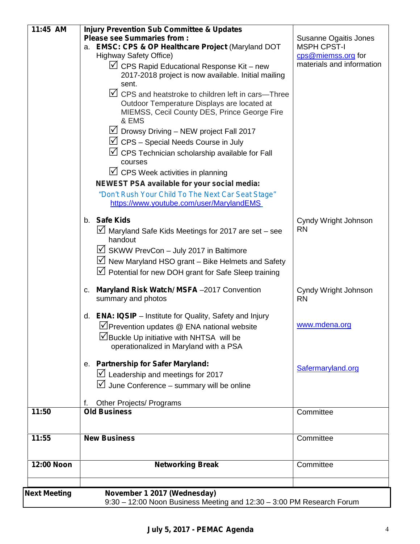| 12:00 Noon | <b>Networking Break</b>                                                                                | Committee                                          |
|------------|--------------------------------------------------------------------------------------------------------|----------------------------------------------------|
| 11:55      | <b>New Business</b>                                                                                    | Committee                                          |
| 11:50      |                                                                                                        | Committee                                          |
|            | Other Projects/ Programs<br><b>Old Business</b>                                                        |                                                    |
|            |                                                                                                        |                                                    |
|            | $\boxtimes$ Leadership and meetings for 2017<br>$\boxtimes$ June Conference – summary will be online   |                                                    |
|            | e. Partnership for Safer Maryland:                                                                     | Safermaryland.org                                  |
|            |                                                                                                        |                                                    |
|            | ∐Buckle Up initiative with NHTSA will be<br>operationalized in Maryland with a PSA                     |                                                    |
|            | $\vee$ Prevention updates @ ENA national website                                                       | www.mdena.org                                      |
|            | d. <b>ENA: IQSIP</b> – Institute for Quality, Safety and Injury                                        |                                                    |
|            | Maryland Risk Watch/ MSFA-2017 Convention<br>C.<br>summary and photos                                  | Cyndy Wright Johnson<br><b>RN</b>                  |
|            | $\triangledown$ Potential for new DOH grant for Safe Sleep training                                    |                                                    |
|            | $\triangledown$ New Maryland HSO grant - Bike Helmets and Safety                                       |                                                    |
|            | $\boxtimes$ SKWW PrevCon - July 2017 in Baltimore                                                      |                                                    |
|            | $\vee$ Maryland Safe Kids Meetings for 2017 are set – see<br>handout                                   | <b>RN</b>                                          |
|            | b. Safe Kids                                                                                           | Cyndy Wright Johnson                               |
|            | https://www.youtube.com/user/MarylandEMS                                                               |                                                    |
|            | "Don't Rush Your Child To The Next Car Seat Stage"                                                     |                                                    |
|            | $\triangledown$ CPS Week activities in planning<br><b>NEWEST PSA available for your social media:</b>  |                                                    |
|            | courses                                                                                                |                                                    |
|            | $\vee$ CPS Technician scholarship available for Fall                                                   |                                                    |
|            | $\triangledown$ CPS – Special Needs Course in July                                                     |                                                    |
|            | & EMS<br>$\vee$ Drowsy Driving – NEW project Fall 2017                                                 |                                                    |
|            | Outdoor Temperature Displays are located at<br>MIEMSS, Cecil County DES, Prince George Fire            |                                                    |
|            | $\triangledown$ CPS and heatstroke to children left in cars-Three                                      |                                                    |
|            | sent.                                                                                                  |                                                    |
|            | $\vee$ CPS Rapid Educational Response Kit – new<br>2017-2018 project is now available. Initial mailing | materials and information                          |
|            | <b>Highway Safety Office)</b>                                                                          | cps@miemss.org for                                 |
|            | <b>Please see Summaries from:</b><br>a. EMSC: CPS & OP Healthcare Project (Maryland DOT                | <b>Susanne Ogaitis Jones</b><br><b>MSPH CPST-I</b> |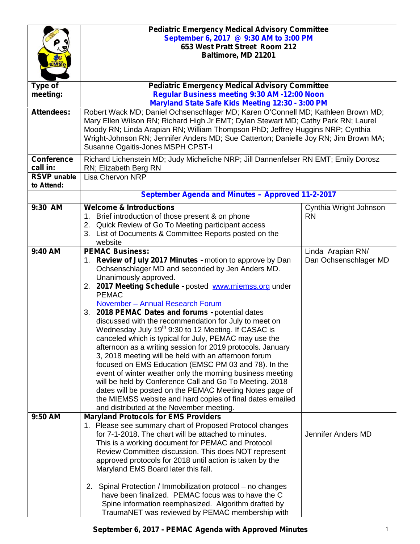|                                  | <b>Pediatric Emergency Medical Advisory Committee</b><br>September 6, 2017 @ 9:30 AM to 3:00 PM<br>653 West Pratt Street Room 212<br>Baltimore, MD 21201                                                                                                                                                                                                                                                                                                                                                                                                                                                                                                                                                                                                                                                                                                                                                                                                                                        |                                            |
|----------------------------------|-------------------------------------------------------------------------------------------------------------------------------------------------------------------------------------------------------------------------------------------------------------------------------------------------------------------------------------------------------------------------------------------------------------------------------------------------------------------------------------------------------------------------------------------------------------------------------------------------------------------------------------------------------------------------------------------------------------------------------------------------------------------------------------------------------------------------------------------------------------------------------------------------------------------------------------------------------------------------------------------------|--------------------------------------------|
| Type of<br>meeting:              | <b>Pediatric Emergency Medical Advisory Committee</b><br>Regular Business meeting 9:30 AM -12:00 Noon<br>Maryland State Safe Kids Meeting 12:30 - 3:00 PM                                                                                                                                                                                                                                                                                                                                                                                                                                                                                                                                                                                                                                                                                                                                                                                                                                       |                                            |
| <b>Attendees:</b>                | Robert Wack MD; Daniel Ochsenschlager MD; Karen O'Connell MD; Kathleen Brown MD;<br>Mary Ellen Wilson RN; Richard High Jr EMT; Dylan Stewart MD; Cathy Park RN; Laurel<br>Moody RN; Linda Arapian RN; William Thompson PhD; Jeffrey Huggins NRP; Cynthia<br>Wright-Johnson RN; Jennifer Anders MD; Sue Catterton; Danielle Joy RN; Jim Brown MA;<br>Susanne Ogaitis-Jones MSPH CPST-I                                                                                                                                                                                                                                                                                                                                                                                                                                                                                                                                                                                                           |                                            |
| <b>Conference</b><br>call in:    | Richard Lichenstein MD; Judy Micheliche NRP; Jill Dannenfelser RN EMT; Emily Dorosz<br>RN; Elizabeth Berg RN                                                                                                                                                                                                                                                                                                                                                                                                                                                                                                                                                                                                                                                                                                                                                                                                                                                                                    |                                            |
| <b>RSVP</b> unable<br>to Attend: | <b>Lisa Chervon NRP</b>                                                                                                                                                                                                                                                                                                                                                                                                                                                                                                                                                                                                                                                                                                                                                                                                                                                                                                                                                                         |                                            |
|                                  | September Agenda and Minutes - Approved 11-2-2017                                                                                                                                                                                                                                                                                                                                                                                                                                                                                                                                                                                                                                                                                                                                                                                                                                                                                                                                               |                                            |
| 9:30 AM                          | <b>Welcome &amp; Introductions</b><br>1. Brief introduction of those present & on phone<br>2. Quick Review of Go To Meeting participant access<br>3. List of Documents & Committee Reports posted on the<br>website                                                                                                                                                                                                                                                                                                                                                                                                                                                                                                                                                                                                                                                                                                                                                                             | Cynthia Wright Johnson<br><b>RN</b>        |
| 9:40 AM                          | <b>PEMAC Business:</b><br>1. Review of July 2017 Minutes - motion to approve by Dan<br>Ochsenschlager MD and seconded by Jen Anders MD.<br>Unanimously approved.<br>2. 2017 Meeting Schedule -posted www.miemss.org under<br><b>PEMAC</b><br>November - Annual Research Forum<br>3. 2018 PEMAC Dates and forums -potential dates<br>discussed with the recommendation for July to meet on<br>Wednesday July 19 <sup>th</sup> 9:30 to 12 Meeting. If CASAC is<br>canceled which is typical for July, PEMAC may use the<br>afternoon as a writing session for 2019 protocols. January<br>3, 2018 meeting will be held with an afternoon forum<br>focused on EMS Education (EMSC PM 03 and 78). In the<br>event of winter weather only the morning business meeting<br>will be held by Conference Call and Go To Meeting. 2018<br>dates will be posted on the PEMAC Meeting Notes page of<br>the MIEMSS website and hard copies of final dates emailed<br>and distributed at the November meeting. | Linda Arapian RN/<br>Dan Ochsenschlager MD |
| 9:50 AM                          | <b>Maryland Protocols for EMS Providers</b><br>1. Please see summary chart of Proposed Protocol changes<br>for 7-1-2018. The chart will be attached to minutes.<br>This is a working document for PEMAC and Protocol<br>Review Committee discussion. This does NOT represent<br>approved protocols for 2018 until action is taken by the<br>Maryland EMS Board later this fall.<br>2. Spinal Protection / Immobilization protocol – no changes<br>have been finalized. PEMAC focus was to have the C                                                                                                                                                                                                                                                                                                                                                                                                                                                                                            | Jennifer Anders MD                         |
|                                  | Spine information reemphasized. Algorithm drafted by<br>TraumaNET was reviewed by PEMAC membership with                                                                                                                                                                                                                                                                                                                                                                                                                                                                                                                                                                                                                                                                                                                                                                                                                                                                                         |                                            |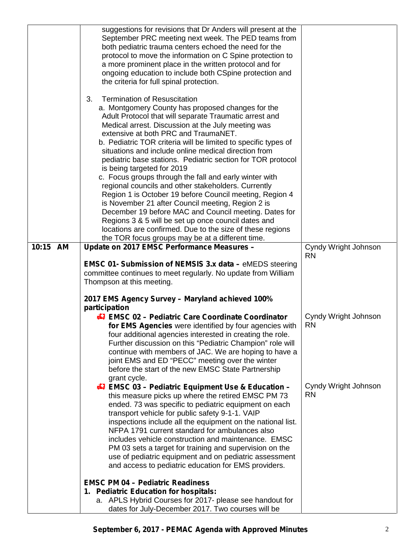|          | suggestions for revisions that Dr Anders will present at the<br>September PRC meeting next week. The PED teams from<br>both pediatric trauma centers echoed the need for the<br>protocol to move the information on C Spine protection to<br>a more prominent place in the written protocol and for<br>ongoing education to include both CSpine protection and<br>the criteria for full spinal protection.                                                                                                                                                                                                                                                                                                                                                                                                                                                                                  |                                   |
|----------|---------------------------------------------------------------------------------------------------------------------------------------------------------------------------------------------------------------------------------------------------------------------------------------------------------------------------------------------------------------------------------------------------------------------------------------------------------------------------------------------------------------------------------------------------------------------------------------------------------------------------------------------------------------------------------------------------------------------------------------------------------------------------------------------------------------------------------------------------------------------------------------------|-----------------------------------|
|          | <b>Termination of Resuscitation</b><br>3.<br>a. Montgomery County has proposed changes for the<br>Adult Protocol that will separate Traumatic arrest and<br>Medical arrest. Discussion at the July meeting was<br>extensive at both PRC and TraumaNET.<br>b. Pediatric TOR criteria will be limited to specific types of<br>situations and include online medical direction from<br>pediatric base stations. Pediatric section for TOR protocol<br>is being targeted for 2019<br>c. Focus groups through the fall and early winter with<br>regional councils and other stakeholders. Currently<br>Region 1 is October 19 before Council meeting, Region 4<br>is November 21 after Council meeting, Region 2 is<br>December 19 before MAC and Council meeting. Dates for<br>Regions 3 & 5 will be set up once council dates and<br>locations are confirmed. Due to the size of these regions |                                   |
| 10:15 AM | the TOR focus groups may be at a different time.<br>Update on 2017 EMSC Performance Measures -                                                                                                                                                                                                                                                                                                                                                                                                                                                                                                                                                                                                                                                                                                                                                                                              | Cyndy Wright Johnson              |
|          | <b>EMSC 01- Submission of NEMSIS 3.x data - eMEDS steering</b><br>committee continues to meet regularly. No update from William<br>Thompson at this meeting.<br>2017 EMS Agency Survey - Maryland achieved 100%                                                                                                                                                                                                                                                                                                                                                                                                                                                                                                                                                                                                                                                                             | <b>RN</b>                         |
|          | participation<br><b>47 EMSC 02 - Pediatric Care Coordinate Coordinator</b><br>for EMS Agencies were identified by four agencies with<br>four additional agencies interested in creating the role.<br>Further discussion on this "Pediatric Champion" role will<br>continue with members of JAC. We are hoping to have a<br>joint EMS and ED "PECC" meeting over the winter<br>before the start of the new EMSC State Partnership<br>grant cycle.                                                                                                                                                                                                                                                                                                                                                                                                                                            | Cyndy Wright Johnson<br><b>RN</b> |
|          | <b>47 EMSC 03 - Pediatric Equipment Use &amp; Education -</b><br>this measure picks up where the retired EMSC PM 73<br>ended. 73 was specific to pediatric equipment on each<br>transport vehicle for public safety 9-1-1. VAIP<br>inspections include all the equipment on the national list.<br>NFPA 1791 current standard for ambulances also<br>includes vehicle construction and maintenance. EMSC<br>PM 03 sets a target for training and supervision on the<br>use of pediatric equipment and on pediatric assessment<br>and access to pediatric education for EMS providers.                                                                                                                                                                                                                                                                                                        | Cyndy Wright Johnson<br><b>RN</b> |
|          | <b>EMSC PM 04 - Pediatric Readiness</b><br>1. Pediatric Education for hospitals:<br>a. APLS Hybrid Courses for 2017- please see handout for<br>dates for July-December 2017. Two courses will be                                                                                                                                                                                                                                                                                                                                                                                                                                                                                                                                                                                                                                                                                            |                                   |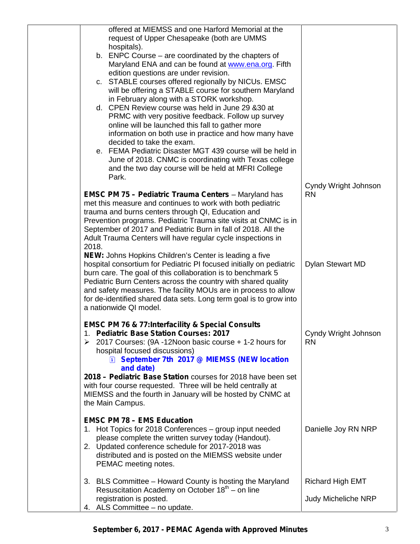| offered at MIEMSS and one Harford Memorial at the                                                                                  |                            |
|------------------------------------------------------------------------------------------------------------------------------------|----------------------------|
| request of Upper Chesapeake (both are UMMS                                                                                         |                            |
| hospitals).                                                                                                                        |                            |
| b. ENPC Course – are coordinated by the chapters of                                                                                |                            |
| Maryland ENA and can be found at www.ena.org. Fifth<br>edition questions are under revision.                                       |                            |
| c. STABLE courses offered regionally by NICUs. EMSC                                                                                |                            |
| will be offering a STABLE course for southern Maryland                                                                             |                            |
| in February along with a STORK workshop.                                                                                           |                            |
| d. CPEN Review course was held in June 29 & 30 at                                                                                  |                            |
| PRMC with very positive feedback. Follow up survey                                                                                 |                            |
| online will be launched this fall to gather more                                                                                   |                            |
| information on both use in practice and how many have<br>decided to take the exam.                                                 |                            |
| e. FEMA Pediatric Disaster MGT 439 course will be held in                                                                          |                            |
| June of 2018. CNMC is coordinating with Texas college                                                                              |                            |
| and the two day course will be held at MFRI College                                                                                |                            |
| Park.                                                                                                                              |                            |
|                                                                                                                                    | Cyndy Wright Johnson       |
| <b>EMSC PM 75 - Pediatric Trauma Centers - Maryland has</b>                                                                        | <b>RN</b>                  |
| met this measure and continues to work with both pediatric<br>trauma and burns centers through QI, Education and                   |                            |
| Prevention programs. Pediatric Trauma site visits at CNMC is in                                                                    |                            |
| September of 2017 and Pediatric Burn in fall of 2018. All the                                                                      |                            |
| Adult Trauma Centers will have regular cycle inspections in                                                                        |                            |
| 2018.                                                                                                                              |                            |
| NEW: Johns Hopkins Children's Center is leading a five                                                                             |                            |
| hospital consortium for Pediatric PI focused initially on pediatric<br>burn care. The goal of this collaboration is to benchmark 5 | <b>Dylan Stewart MD</b>    |
| Pediatric Burn Centers across the country with shared quality                                                                      |                            |
| and safety measures. The facility MOUs are in process to allow                                                                     |                            |
| for de-identified shared data sets. Long term goal is to grow into                                                                 |                            |
| a nationwide QI model.                                                                                                             |                            |
| <b>EMSC PM 76 &amp; 77:Interfacility &amp; Special Consults</b>                                                                    |                            |
| 1. Pediatric Base Station Courses: 2017                                                                                            | Cyndy Wright Johnson       |
| $\geq$ 2017 Courses: (9A -12Noon basic course + 1-2 hours for                                                                      | <b>RN</b>                  |
| hospital focused discussions)                                                                                                      |                            |
| E September 7th 2017 @ MIEMSS (NEW location                                                                                        |                            |
| and date)<br>2018 - Pediatric Base Station courses for 2018 have been set                                                          |                            |
| with four course requested. Three will be held centrally at                                                                        |                            |
| MIEMSS and the fourth in January will be hosted by CNMC at                                                                         |                            |
| the Main Campus.                                                                                                                   |                            |
|                                                                                                                                    |                            |
| <b>EMSC PM 78 - EMS Education</b><br>1. Hot Topics for 2018 Conferences - group input needed                                       | Danielle Joy RN NRP        |
| please complete the written survey today (Handout).                                                                                |                            |
| 2. Updated conference schedule for 2017-2018 was                                                                                   |                            |
| distributed and is posted on the MIEMSS website under                                                                              |                            |
| PEMAC meeting notes.                                                                                                               |                            |
| 3. BLS Committee - Howard County is hosting the Maryland                                                                           | Richard High EMT           |
| Resuscitation Academy on October $18th$ – on line                                                                                  |                            |
| registration is posted.                                                                                                            | <b>Judy Micheliche NRP</b> |
| 4. ALS Committee - no update.                                                                                                      |                            |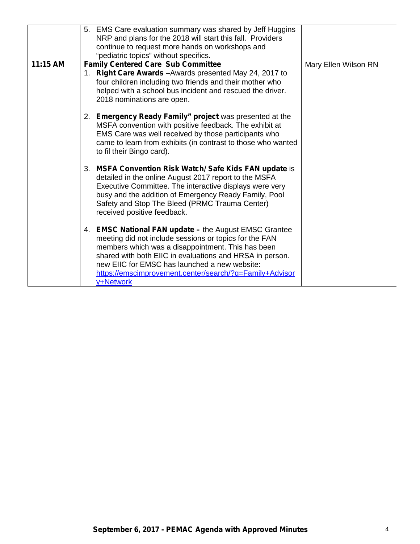|          | 5. EMS Care evaluation summary was shared by Jeff Huggins<br>NRP and plans for the 2018 will start this fall. Providers<br>continue to request more hands on workshops and<br>"pediatric topics" without specifics.                                                                                                                                       |                      |
|----------|-----------------------------------------------------------------------------------------------------------------------------------------------------------------------------------------------------------------------------------------------------------------------------------------------------------------------------------------------------------|----------------------|
| 11:15 AM | <b>Family Centered Care Sub Committee</b><br>1. Right Care Awards - Awards presented May 24, 2017 to<br>four children including two friends and their mother who<br>helped with a school bus incident and rescued the driver.<br>2018 nominations are open.                                                                                               | Mary Ellen Wilson RN |
|          | 2. Emergency Ready Family" project was presented at the<br>MSFA convention with positive feedback. The exhibit at<br>EMS Care was well received by those participants who<br>came to learn from exhibits (in contrast to those who wanted<br>to fil their Bingo card).                                                                                    |                      |
|          | 3. MSFA Convention Risk Watch/Safe Kids FAN update is<br>detailed in the online August 2017 report to the MSFA<br>Executive Committee. The interactive displays were very<br>busy and the addition of Emergency Ready Family, Pool<br>Safety and Stop The Bleed (PRMC Trauma Center)<br>received positive feedback.                                       |                      |
|          | 4. EMSC National FAN update - the August EMSC Grantee<br>meeting did not include sessions or topics for the FAN<br>members which was a disappointment. This has been<br>shared with both EIIC in evaluations and HRSA in person.<br>new EIIC for EMSC has launched a new website:<br>https://emscimprovement.center/search/?q=Family+Advisor<br>y+Network |                      |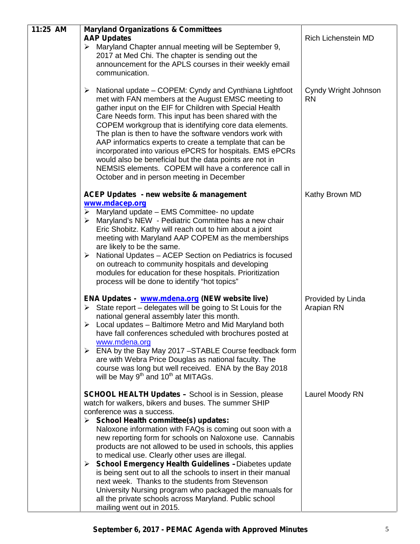| 11:25 AM | <b>Maryland Organizations &amp; Committees</b>                                                                                                                                                                                                                                                                                                                                                                                                                                                                                                                                                                                                                                                                                                                                       |                                   |
|----------|--------------------------------------------------------------------------------------------------------------------------------------------------------------------------------------------------------------------------------------------------------------------------------------------------------------------------------------------------------------------------------------------------------------------------------------------------------------------------------------------------------------------------------------------------------------------------------------------------------------------------------------------------------------------------------------------------------------------------------------------------------------------------------------|-----------------------------------|
|          | <b>AAP Updates</b><br>> Maryland Chapter annual meeting will be September 9,<br>2017 at Med Chi. The chapter is sending out the<br>announcement for the APLS courses in their weekly email<br>communication.                                                                                                                                                                                                                                                                                                                                                                                                                                                                                                                                                                         | <b>Rich Lichenstein MD</b>        |
|          | National update – COPEM: Cyndy and Cynthiana Lightfoot<br>➤<br>met with FAN members at the August EMSC meeting to<br>gather input on the EIF for Children with Special Health<br>Care Needs form. This input has been shared with the<br>COPEM workgroup that is identifying core data elements.<br>The plan is then to have the software vendors work with<br>AAP informatics experts to create a template that can be<br>incorporated into various ePCRS for hospitals. EMS ePCRs<br>would also be beneficial but the data points are not in<br>NEMSIS elements. COPEM will have a conference call in<br>October and in person meeting in December                                                                                                                                 | Cyndy Wright Johnson<br><b>RN</b> |
|          | <b>ACEP Updates - new website &amp; management</b><br>www.mdacep.org<br>Maryland update - EMS Committee- no update<br>➤<br>> Maryland's NEW - Pediatric Committee has a new chair<br>Eric Shobitz. Kathy will reach out to him about a joint<br>meeting with Maryland AAP COPEM as the memberships<br>are likely to be the same.<br>National Updates - ACEP Section on Pediatrics is focused<br>➤<br>on outreach to community hospitals and developing<br>modules for education for these hospitals. Prioritization<br>process will be done to identify "hot topics"                                                                                                                                                                                                                 | Kathy Brown MD                    |
|          | ENA Updates - www.mdena.org (NEW website live)<br>$\triangleright$ State report – delegates will be going to St Louis for the<br>national general assembly later this month.<br>$\triangleright$ Local updates – Baltimore Metro and Mid Maryland both<br>have fall conferences scheduled with brochures posted at<br>www.mdena.org<br>$\triangleright$ ENA by the Bay May 2017 -STABLE Course feedback form<br>are with Webra Price Douglas as national faculty. The<br>course was long but well received. ENA by the Bay 2018<br>will be May 9 <sup>th</sup> and 10 <sup>th</sup> at MITAGs.                                                                                                                                                                                       | Provided by Linda<br>Arapian RN   |
|          | <b>SCHOOL HEALTH Updates - School is in Session, please</b><br>watch for walkers, bikers and buses. The summer SHIP<br>conference was a success.<br>$\triangleright$ School Health committee(s) updates:<br>Naloxone information with FAQs is coming out soon with a<br>new reporting form for schools on Naloxone use. Cannabis<br>products are not allowed to be used in schools, this applies<br>to medical use. Clearly other uses are illegal.<br>> School Emergency Health Guidelines -Diabetes update<br>is being sent out to all the schools to insert in their manual<br>next week. Thanks to the students from Stevenson<br>University Nursing program who packaged the manuals for<br>all the private schools across Maryland. Public school<br>mailing went out in 2015. | Laurel Moody RN                   |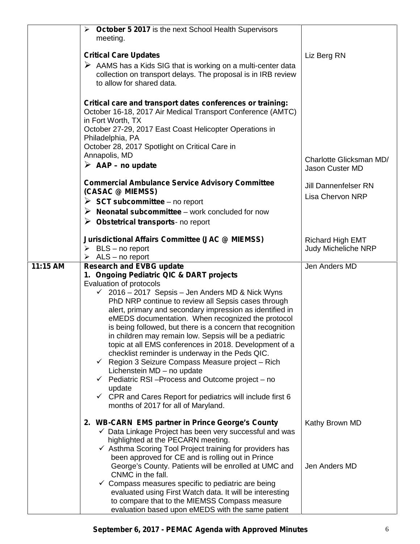|          | October 5 2017 is the next School Health Supervisors<br>➤                                                            |                             |
|----------|----------------------------------------------------------------------------------------------------------------------|-----------------------------|
|          | meeting.                                                                                                             |                             |
|          | <b>Critical Care Updates</b>                                                                                         | Liz Berg RN                 |
|          | $\triangleright$ AAMS has a Kids SIG that is working on a multi-center data                                          |                             |
|          | collection on transport delays. The proposal is in IRB review                                                        |                             |
|          | to allow for shared data.                                                                                            |                             |
|          |                                                                                                                      |                             |
|          | Critical care and transport dates conferences or training:                                                           |                             |
|          | October 16-18, 2017 Air Medical Transport Conference (AMTC)<br>in Fort Worth, TX                                     |                             |
|          | October 27-29, 2017 East Coast Helicopter Operations in                                                              |                             |
|          | Philadelphia, PA                                                                                                     |                             |
|          | October 28, 2017 Spotlight on Critical Care in                                                                       |                             |
|          | Annapolis, MD                                                                                                        | Charlotte Glicksman MD/     |
|          | $\triangleright$ AAP – no update                                                                                     | Jason Custer MD             |
|          |                                                                                                                      |                             |
|          | <b>Commercial Ambulance Service Advisory Committee</b><br>(CASAC @ MIEMSS)                                           | <b>Jill Dannenfelser RN</b> |
|          | $\triangleright$ SCT subcommittee – no report                                                                        | <b>Lisa Chervon NRP</b>     |
|          | $\triangleright$ Neonatal subcommittee – work concluded for now                                                      |                             |
|          | $\triangleright$ Obstetrical transports- no report                                                                   |                             |
|          |                                                                                                                      |                             |
|          | <b>Jurisdictional Affairs Committee (JAC @ MIEMSS)</b>                                                               | <b>Richard High EMT</b>     |
|          | $\triangleright$ BLS – no report                                                                                     | Judy Micheliche NRP         |
|          | ALS - no report<br>➤                                                                                                 |                             |
| 11:15 AM | <b>Research and EVBG update</b><br>1. Ongoing Pediatric QIC & DART projects                                          | Jen Anders MD               |
|          | Evaluation of protocols                                                                                              |                             |
|          | 2016 - 2017 Sepsis - Jen Anders MD & Nick Wyns<br>✓                                                                  |                             |
|          | PhD NRP continue to review all Sepsis cases through                                                                  |                             |
|          | alert, primary and secondary impression as identified in                                                             |                             |
|          | eMEDS documentation. When recognized the protocol                                                                    |                             |
|          | is being followed, but there is a concern that recognition<br>in children may remain low. Sepsis will be a pediatric |                             |
|          | topic at all EMS conferences in 2018. Development of a                                                               |                             |
|          | checklist reminder is underway in the Peds QIC.                                                                      |                             |
|          | Region 3 Seizure Compass Measure project - Rich<br>$\checkmark$                                                      |                             |
|          | Lichenstein MD - no update                                                                                           |                             |
|          | Pediatric RSI-Process and Outcome project - no<br>✓                                                                  |                             |
|          | update<br>CPR and Cares Report for pediatrics will include first 6<br>✓                                              |                             |
|          | months of 2017 for all of Maryland.                                                                                  |                             |
|          |                                                                                                                      |                             |
|          | 2. WB-CARN EMS partner in Prince George's County                                                                     | Kathy Brown MD              |
|          | $\checkmark$ Data Linkage Project has been very successful and was<br>highlighted at the PECARN meeting.             |                             |
|          | $\checkmark$ Asthma Scoring Tool Project training for providers has                                                  |                             |
|          | been approved for CE and is rolling out in Prince                                                                    |                             |
|          | George's County. Patients will be enrolled at UMC and                                                                | Jen Anders MD               |
|          | CNMC in the fall.                                                                                                    |                             |
|          | $\checkmark$ Compass measures specific to pediatric are being                                                        |                             |
|          | evaluated using First Watch data. It will be interesting<br>to compare that to the MIEMSS Compass measure            |                             |
|          | evaluation based upon eMEDS with the same patient                                                                    |                             |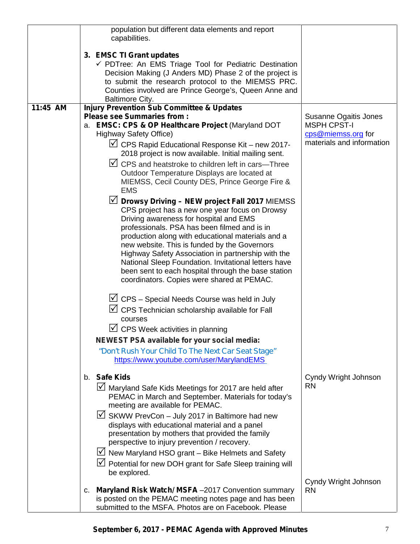|          | population but different data elements and report<br>capabilities.                                                                                                                                                                                                                                                                                                                                                                                                                                                       |                                                                                                |
|----------|--------------------------------------------------------------------------------------------------------------------------------------------------------------------------------------------------------------------------------------------------------------------------------------------------------------------------------------------------------------------------------------------------------------------------------------------------------------------------------------------------------------------------|------------------------------------------------------------------------------------------------|
|          | 3. EMSC TI Grant updates<br>√ PDTree: An EMS Triage Tool for Pediatric Destination<br>Decision Making (J Anders MD) Phase 2 of the project is<br>to submit the research protocol to the MIEMSS PRC.<br>Counties involved are Prince George's, Queen Anne and<br><b>Baltimore City.</b>                                                                                                                                                                                                                                   |                                                                                                |
| 11:45 AM | <b>Injury Prevention Sub Committee &amp; Updates</b>                                                                                                                                                                                                                                                                                                                                                                                                                                                                     |                                                                                                |
|          | <b>Please see Summaries from:</b><br>a. EMSC: CPS & OP Healthcare Project (Maryland DOT<br><b>Highway Safety Office)</b><br>$\triangledown$ CPS Rapid Educational Response Kit - new 2017-<br>2018 project is now available. Initial mailing sent.                                                                                                                                                                                                                                                                       | Susanne Ogaitis Jones<br><b>MSPH CPST-I</b><br>cps@miemss.org for<br>materials and information |
|          | $\vee$ CPS and heatstroke to children left in cars—Three<br>Outdoor Temperature Displays are located at<br>MIEMSS, Cecil County DES, Prince George Fire &<br><b>EMS</b>                                                                                                                                                                                                                                                                                                                                                  |                                                                                                |
|          | $\vee$ Drowsy Driving – NEW project Fall 2017 MIEMSS<br>CPS project has a new one year focus on Drowsy<br>Driving awareness for hospital and EMS<br>professionals. PSA has been filmed and is in<br>production along with educational materials and a<br>new website. This is funded by the Governors<br>Highway Safety Association in partnership with the<br>National Sleep Foundation. Invitational letters have<br>been sent to each hospital through the base station<br>coordinators. Copies were shared at PEMAC. |                                                                                                |
|          | $\vee$ CPS – Special Needs Course was held in July<br>$\triangledown$ CPS Technician scholarship available for Fall<br>courses<br>$ \mathcal{p} $<br>CPS Week activities in planning                                                                                                                                                                                                                                                                                                                                     |                                                                                                |
|          | NEWEST PSA available for your social media:                                                                                                                                                                                                                                                                                                                                                                                                                                                                              |                                                                                                |
|          | "Don't Rush Your Child To The Next Car Seat Stage"<br>https://www.youtube.com/user/MarylandEMS                                                                                                                                                                                                                                                                                                                                                                                                                           |                                                                                                |
|          | b. Safe Kids<br>Maryland Safe Kids Meetings for 2017 are held after<br>PEMAC in March and September. Materials for today's<br>meeting are available for PEMAC.                                                                                                                                                                                                                                                                                                                                                           | Cyndy Wright Johnson<br><b>RN</b>                                                              |
|          | $\sqrt{ }$ SKWW PrevCon - July 2017 in Baltimore had new<br>displays with educational material and a panel<br>presentation by mothers that provided the family<br>perspective to injury prevention / recovery.                                                                                                                                                                                                                                                                                                           |                                                                                                |
|          | $\vee$ New Maryland HSO grant – Bike Helmets and Safety<br>D Potential for new DOH grant for Safe Sleep training will<br>be explored.                                                                                                                                                                                                                                                                                                                                                                                    |                                                                                                |
|          | Maryland Risk Watch/ MSFA-2017 Convention summary<br>C.<br>is posted on the PEMAC meeting notes page and has been<br>submitted to the MSFA. Photos are on Facebook. Please                                                                                                                                                                                                                                                                                                                                               | Cyndy Wright Johnson<br><b>RN</b>                                                              |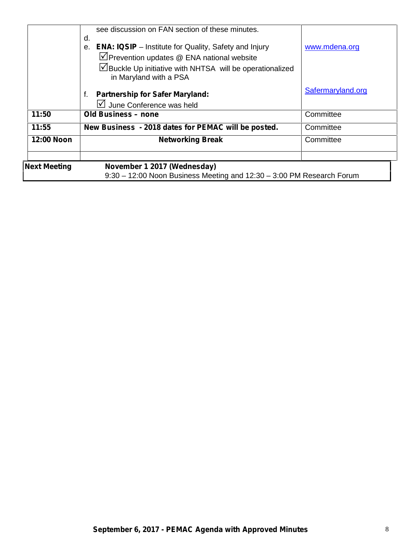| <b>Next Meeting</b> | November 1 2017 (Wednesday)<br>9:30 - 12:00 Noon Business Meeting and 12:30 - 3:00 PM Research Forum                                                                                                           |                   |
|---------------------|----------------------------------------------------------------------------------------------------------------------------------------------------------------------------------------------------------------|-------------------|
| 12:00 Noon          | <b>Networking Break</b>                                                                                                                                                                                        | Committee         |
| 11:55               | New Business - 2018 dates for PEMAC will be posted.                                                                                                                                                            | Committee         |
| 11:50               | Old Business - none                                                                                                                                                                                            | Committee         |
|                     | <b>Partnership for Safer Maryland:</b><br>f.<br>$\sqrt{2}$ June Conference was held                                                                                                                            | Safermaryland.org |
|                     | <b>ENA: IQSIP</b> – Institute for Quality, Safety and Injury<br>$\theta$ .<br>⊻Prevention updates @ ENA national website<br>∐Buckle Up initiative with NHTSA will be operationalized<br>in Maryland with a PSA | www.mdena.org     |
|                     | see discussion on FAN section of these minutes.<br>d.                                                                                                                                                          |                   |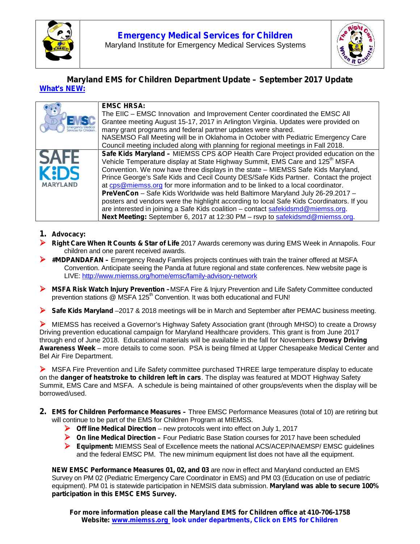



# *Maryland EMS for Children Department Update – September 2017 Update What's NEW:*

|          | <b>EMSC HRSA:</b><br>The EIIC – EMSC Innovation and Improvement Center coordinated the EMSC All<br>Grantee meeting August 15-17, 2017 in Arlington Virginia. Updates were provided on<br>many grant programs and federal partner updates were shared.                                                                                                                                                                                                                                                                                                                                                                  |
|----------|------------------------------------------------------------------------------------------------------------------------------------------------------------------------------------------------------------------------------------------------------------------------------------------------------------------------------------------------------------------------------------------------------------------------------------------------------------------------------------------------------------------------------------------------------------------------------------------------------------------------|
| MARYLAND | NASEMSO Fall Meeting will be in Oklahoma in October with Pediatric Emergency Care<br>Council meeting included along with planning for regional meetings in Fall 2018.<br>Safe Kids Maryland - MIEMSS CPS &OP Health Care Project provided education on the<br>Vehicle Temperature display at State Highway Summit, EMS Care and 125 <sup>th</sup> MSFA<br>Convention. We now have three displays in the state - MIEMSS Safe Kids Maryland,<br>Prince George's Safe Kids and Cecil County DES/Safe Kids Partner. Contact the project<br>at cps@miemss.org for more information and to be linked to a local coordinator. |
|          | PreVenCon - Safe Kids Worldwide was held Baltimore Maryland July 26-29.2017 -<br>posters and vendors were the highlight according to local Safe Kids Coordinators. If you<br>are interested in joining a Safe Kids coalition - contact safekidsmd@miemss.org.<br>Next Meeting: September 6, 2017 at 12:30 PM - rsvp to safekidsmd@miemss.org.                                                                                                                                                                                                                                                                          |

#### **1. Advocacy:**

- **Right Care When It Counts & Star of Life** 2017 Awards ceremony was during EMS Week in Annapolis. Four children and one parent received awards.
- **#MDPANDAFAN –** Emergency Ready Families projects continues with train the trainer offered at MSFA Convention. Anticipate seeing the Panda at future regional and state conferences. New website page is LIVE: http://www.miemss.org/home/emsc/family-advisory-network
- **MSFA Risk Watch Injury Prevention –**MSFA Fire & Injury Prevention and Life Safety Committee conducted prevention stations @ MSFA 125<sup>th</sup> Convention. It was both educational and FUN!
- **Safe Kids Maryland** –2017 & 2018 meetings will be in March and September after PEMAC business meeting.

 MIEMSS has received a Governor's Highway Safety Association grant (through MHSO) to create a Drowsy Driving prevention educational campaign for Maryland Healthcare providers. This grant is from June 2017 through end of June 2018. Educational materials will be available in the fall for Novembers **Drowsy Driving Awareness Week** – more details to come soon. PSA is being filmed at Upper Chesapeake Medical Center and Bel Air Fire Department.

 MSFA Fire Prevention and Life Safety committee purchased THREE large temperature display to educate on the **danger of heatstroke to children left in cars**. The display was featured at MDOT Highway Safety Summit, EMS Care and MSFA. A schedule is being maintained of other groups/events when the display will be borrowed/used.

- **2. EMS for Children Performance Measures –** Three EMSC Performance Measures (total of 10) are retiring but will continue to be part of the EMS for Children Program at MIEMSS.
	- **Off line Medical Direction** new protocols went into effect on July 1, 2017
	- **On line Medical Direction** Four Pediatric Base Station courses for 2017 have been scheduled
	- **Equipment:** MIEMSS Seal of Excellence meets the national ACS/ACEP/NAEMSP/ EMSC guidelines and the federal EMSC PM. The new minimum equipment list does not have all the equipment.

**NEW EMSC Performance Measures 01, 02, and 03** are now in effect and Maryland conducted an EMS Survey on PM 02 (Pediatric Emergency Care Coordinator in EMS) and PM 03 (Education on use of pediatric equipment). PM 01 is statewide participation in NEMSIS data submission. **Maryland was able to secure 100% participation in this EMSC EMS Survey.**

**For more information please call the Maryland EMS for Children office at 410-706-1758 Website: www.miemss.org look under departments, Click on EMS for Children**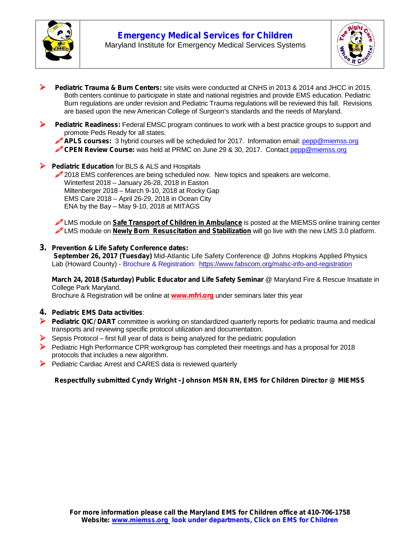



- **Pediatric Trauma & Burn Centers:** site visits were conducted at CNHS in 2013 & 2014 and JHCC in 2015. Both centers continue to participate in state and national registries and provide EMS education. Pediatric Burn regulations are under revision and Pediatric Trauma regulations will be reviewed this fall. Revisions are based upon the new American College of Surgeon's standards and the needs of Maryland.
- **Pediatric Readiness:** Federal EMSC program continues to work with a best practice groups to support and promote Peds Ready for all states.



**CPEN Review Course:** was held at PRMC on June 29 & 30, 2017. Contact pepp@miemss.org

**Pediatric Education** for BLS & ALS and Hospitals

2018 EMS conferences are being scheduled now. New topics and speakers are welcome. Winterfest 2018 – January 26-28, 2018 in Easton Miltenberger 2018 – March 9-10, 2018 at Rocky Gap EMS Care 2018 – April 26-29, 2018 in Ocean City ENA by the Bay – May 9-10, 2018 at MITAGS

LMS module on **Safe Transport of Children in Ambulance** is posted at the MIEMSS online training center LMS module on **Newly Born Resuscitation and Stabilization** will go live with the new LMS 3.0 platform.

#### **3. Prevention & Life Safety Conference dates:**

**September 26, 2017 (Tuesday)** Mid-Atlantic Life Safety Conference @ Johns Hopkins Applied Physics Lab (Howard County) - Brochure & Registration: https://www.fabscom.org/malsc-info-and-registration

**March 24, 2018 (Saturday) Public Educator and Life Safety Seminar** @ Maryland Fire & Rescue Insatiate in College Park Maryland.

Brochure & Registration will be online at **www.mfri.org** under seminars later this year

- **4. Pediatric EMS Data activities**:
- **Pediatric QIC/ DART** committee is working on standardized quarterly reports for pediatric trauma and medical transports and reviewing specific protocol utilization and documentation.
- $\triangleright$  Sepsis Protocol first full year of data is being analyzed for the pediatric population
- Pediatric High Performance CPR workgroup has completed their meetings and has a proposal for 2018 protocols that includes a new algorithm.
- Pediatric Cardiac Arrest and CARES data is reviewed quarterly

#### *Respectfully submitted Cyndy Wright –Johnson MSN RN, EMS for Children Director @ MIEMSS*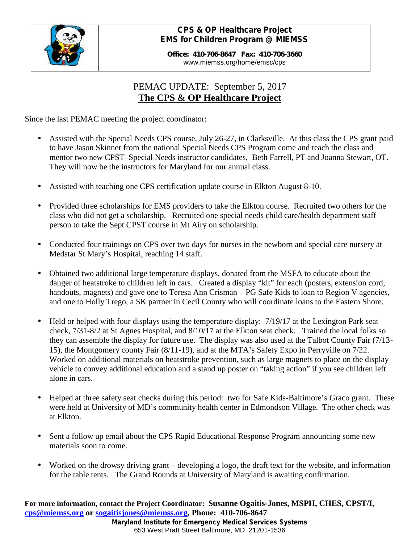

# *CPS & OP Healthcare Project EMS for Children Program @ MIEMSS*

**Office: 410-706-8647 Fax: 410-706-3660** www.miemss.org/home/emsc/cps

# PEMAC UPDATE: September 5, 2017 **The CPS & OP Healthcare Project**

Since the last PEMAC meeting the project coordinator:

- Assisted with the Special Needs CPS course, July 26-27, in Clarksville. At this class the CPS grant paid to have Jason Skinner from the national Special Needs CPS Program come and teach the class and mentor two new CPST–Special Needs instructor candidates, Beth Farrell, PT and Joanna Stewart, OT. They will now be the instructors for Maryland for our annual class.
- Assisted with teaching one CPS certification update course in Elkton August 8-10.
- Provided three scholarships for EMS providers to take the Elkton course. Recruited two others for the class who did not get a scholarship. Recruited one special needs child care/health department staff person to take the Sept CPST course in Mt Airy on scholarship.
- Conducted four trainings on CPS over two days for nurses in the newborn and special care nursery at Medstar St Mary's Hospital, reaching 14 staff.
- Obtained two additional large temperature displays, donated from the MSFA to educate about the danger of heatstroke to children left in cars. Created a display "kit" for each (posters, extension cord, handouts, magnets) and gave one to Teresa Ann Crisman—PG Safe Kids to loan to Region V agencies, and one to Holly Trego, a SK partner in Cecil County who will coordinate loans to the Eastern Shore.
- Held or helped with four displays using the temperature display: 7/19/17 at the Lexington Park seat check, 7/31-8/2 at St Agnes Hospital, and 8/10/17 at the Elkton seat check. Trained the local folks so they can assemble the display for future use. The display was also used at the Talbot County Fair (7/13- 15), the Montgomery county Fair (8/11-19), and at the MTA's Safety Expo in Perryville on 7/22. Worked on additional materials on heatstroke prevention, such as large magnets to place on the display vehicle to convey additional education and a stand up poster on "taking action" if you see children left alone in cars.
- Helped at three safety seat checks during this period: two for Safe Kids-Baltimore's Graco grant. These were held at University of MD's community health center in Edmondson Village. The other check was at Elkton.
- Sent a follow up email about the CPS Rapid Educational Response Program announcing some new materials soon to come.
- Worked on the drowsy driving grant—developing a logo, the draft text for the website, and information for the table tents. The Grand Rounds at University of Maryland is awaiting confirmation.

*Maryland Institute for Emergency Medical Services Systems* **For more information, contact the Project Coordinator: Susanne Ogaitis-Jones, MSPH, CHES, CPST/I, cps@miemss.org or sogaitisjones@miemss.org, Phone: 410-706-8647**

653 West Pratt Street Baltimore, MD 21201-1536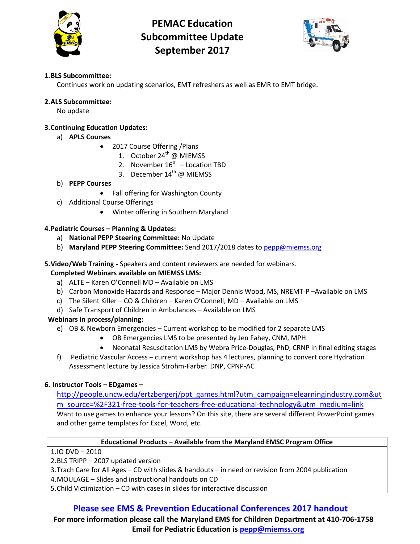

# **PEMAC Education Subcommittee Update September 2017**



## **1.BLS Subcommittee:**

Continues work on updating scenarios, EMT refreshers as well as EMR to EMT bridge.

#### **2.ALS Subcommittee:**

No update

#### **3.Continuing Education Updates:**

- a) **APLS Courses**
	- 2017 Course Offering / Plans
		- 1. October  $24^{th}$  @ MIEMSS
		- 2. November  $16^{th}$  Location TBD
		- 3. December 14<sup>th</sup> @ MIEMSS
- b) **PEPP Courses**
	- Fall offering for Washington County
- c) Additional Course Offerings
	- Winter offering in Southern Maryland

#### **4.Pediatric Courses – Planning & Updates:**

- a) **National PEPP Steering Committee:** No Update
- b) **Maryland PEPP Steering Committee:** Send 2017/2018 dates t[o pepp@miemss.org](mailto:pepp@miemss.org)

#### **5.Video/Web Training -** Speakers and content reviewers are needed for webinars.

#### **Completed Webinars available on MIEMSS LMS:**

- a) ALTE Karen O'Connell MD Available on LMS
- b) Carbon Monoxide Hazards and Response Major Dennis Wood, MS, NREMT-P –Available on LMS
- c) The Silent Killer CO & Children Karen O'Connell, MD Available on LMS
- d) Safe Transport of Children in Ambulances Available on LMS

## **Webinars in process/planning:**

- e) OB & Newborn Emergencies Current workshop to be modified for 2 separate LMS
	- OB Emergencies LMS to be presented by Jen Fahey, CNM, MPH
	- Neonatal Resuscitation LMS by Webra Price-Douglas, PhD, CRNP in final editing stages
- f) Pediatric Vascular Access current workshop has 4 lectures, planning to convert core Hydration Assessment lecture by Jessica Strohm-Farber DNP, CPNP-AC

#### **6. Instructor Tools – EDgames –**

[http://people.uncw.edu/ertzbergerj/ppt\\_games.html?utm\\_campaign=elearningindustry.com&ut](http://people.uncw.edu/ertzbergerj/ppt_games.html?utm_campaign=elearningindustry.com&utm_source=%2F321-free-tools-for-teachers-free-educational-technology&utm_medium=link) [m\\_source=%2F321-free-tools-for-teachers-free-educational-technology&utm\\_medium=link](http://people.uncw.edu/ertzbergerj/ppt_games.html?utm_campaign=elearningindustry.com&utm_source=%2F321-free-tools-for-teachers-free-educational-technology&utm_medium=link) Want to use games to enhance your lessons? On this site, there are several different PowerPoint games and other game templates for Excel, Word, etc.

#### **Educational Products – Available from the Maryland EMSC Program Office**

1.IO DVD – 2010

- 2.BLS TRIPP 2007 updated version
- 3.Trach Care for All Ages CD with slides & handouts in need or revision from 2004 publication
- 4.MOULAGE Slides and instructional handouts on CD
- 5.Child Victimization CD with cases in slides for interactive discussion

# **Please see EMS & Prevention Educational Conferences 2017 handout**

**For more information please call the Maryland EMS for Children Department at 410-706-1758 Email for Pediatric Education is [pepp@miemss.org](mailto:pepp@miemss.org)**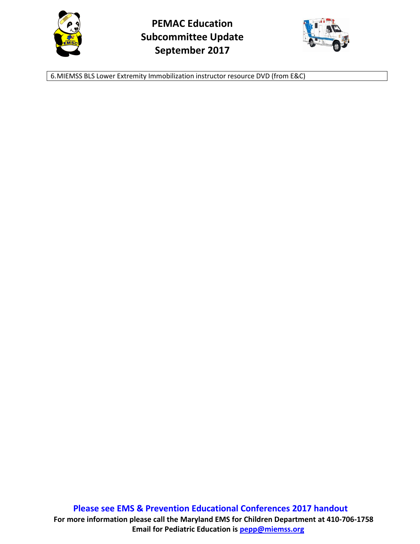



6.MIEMSS BLS Lower Extremity Immobilization instructor resource DVD (from E&C)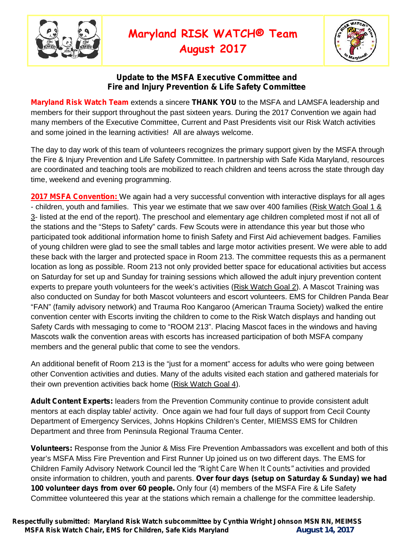

# **Maryland RISK WATCH® Team**

**August 2017**



# **Update to the MSFA Executive Committee and Fire and Injury Prevention & Life Safety Committee**

**Maryland Risk Watch Team** extends a sincere **THANK YOU** to the MSFA and LAMSFA leadership and members for their support throughout the past sixteen years. During the 2017 Convention we again had many members of the Executive Committee, Current and Past Presidents visit our Risk Watch activities and some joined in the learning activities! All are always welcome.

The day to day work of this team of volunteers recognizes the primary support given by the MSFA through the Fire & Injury Prevention and Life Safety Committee. In partnership with Safe Kida Maryland, resources are coordinated and teaching tools are mobilized to reach children and teens across the state through day time, weekend and evening programming.

**2017 MSFA Convention:** We again had a very successful convention with interactive displays for all ages - children, youth and families. This year we estimate that we saw over 400 families (Risk Watch Goal 1 & 3- listed at the end of the report). The preschool and elementary age children completed most if not all of the stations and the "Steps to Safety" cards. Few Scouts were in attendance this year but those who participated took additional information home to finish Safety and First Aid achievement badges. Families of young children were glad to see the small tables and large motor activities present. We were able to add these back with the larger and protected space in Room 213. The committee requests this as a permanent location as long as possible. Room 213 not only provided better space for educational activities but access on Saturday for set up and Sunday for training sessions which allowed the adult injury prevention content experts to prepare youth volunteers for the week's activities (Risk Watch Goal 2). A Mascot Training was also conducted on Sunday for both Mascot volunteers and escort volunteers. EMS for Children Panda Bear "FAN" (family advisory network) and Trauma Roo Kangaroo (American Trauma Society) walked the entire convention center with Escorts inviting the children to come to the Risk Watch displays and handing out Safety Cards with messaging to come to "ROOM 213". Placing Mascot faces in the windows and having Mascots walk the convention areas with escorts has increased participation of both MSFA company members and the general public that come to see the vendors.

An additional benefit of Room 213 is the "just for a moment" access for adults who were going between other Convention activities and duties. Many of the adults visited each station and gathered materials for their own prevention activities back home (Risk Watch Goal 4).

**Adult Content Experts:** leaders from the Prevention Community continue to provide consistent adult mentors at each display table/ activity. Once again we had four full days of support from Cecil County Department of Emergency Services, Johns Hopkins Children's Center, MIEMSS EMS for Children Department and three from Peninsula Regional Trauma Center.

**Volunteers:** Response from the Junior & Miss Fire Prevention Ambassadors was excellent and both of this year's MSFA Miss Fire Prevention and First Runner Up joined us on two different days. The EMS for Children Family Advisory Network Council led the *"Right Care When It Counts"* activities and provided onsite information to children, youth and parents. **Over four days (setup on Saturday & Sunday) we had 100 volunteer days from over 60 people.** Only four (4) members of the MSFA Fire & Life Safety Committee volunteered this year at the stations which remain a challenge for the committee leadership.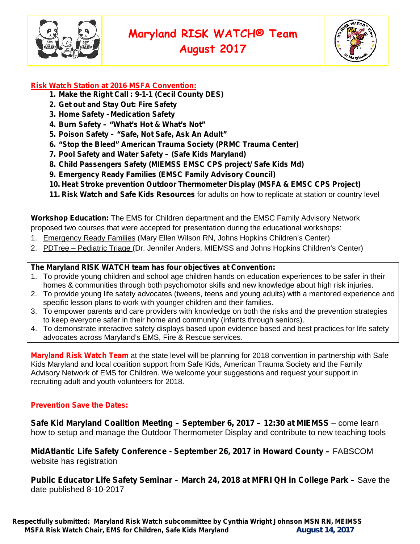



# **Risk Watch Station at 2016 MSFA Convention:**

- **1. Make the Right Call : 9-1-1 (Cecil County DES)**
- **2. Get out and Stay Out: Fire Safety**
- **3. Home Safety –Medication Safety**
- **4. Burn Safety – "What's Hot & What's Not"**
- **5. Poison Safety – "Safe, Not Safe, Ask An Adult"**
- **6. "Stop the Bleed" American Trauma Society (PRMC Trauma Center)**
- **7. Pool Safety and Water Safety – (Safe Kids Maryland)**
- **8. Child Passengers Safety (MIEMSS EMSC CPS project/ Safe Kids Md)**
- **9. Emergency Ready Families (EMSC Family Advisory Council)**
- **10. Heat Stroke prevention Outdoor Thermometer Display (MSFA & EMSC CPS Project)**
- **11. Risk Watch and Safe Kids Resources** for adults on how to replicate at station or country level

**Workshop Education:** The EMS for Children department and the EMSC Family Advisory Network proposed two courses that were accepted for presentation during the educational workshops:

- 1. Emergency Ready Families (Mary Ellen Wilson RN, Johns Hopkins Children's Center)
- 2. PDTree Pediatric Triage (Dr. Jennifer Anders, MIEMSS and Johns Hopkins Children's Center)

#### **The Maryland RISK WATCH team has four objectives at Convention:**

- 1. To provide young children and school age children hands on education experiences to be safer in their homes & communities through both psychomotor skills and new knowledge about high risk injuries.
- 2. To provide young life safety advocates (tweens, teens and young adults) with a mentored experience and specific lesson plans to work with younger children and their families.
- 3. To empower parents and care providers with knowledge on both the risks and the prevention strategies to keep everyone safer in their home and community (infants through seniors).
- 4. To demonstrate interactive safety displays based upon evidence based and best practices for life safety advocates across Maryland's EMS, Fire & Rescue services.

**Maryland Risk Watch Team** at the state level will be planning for 2018 convention in partnership with Safe Kids Maryland and local coalition support from Safe Kids, American Trauma Society and the Family Advisory Network of EMS for Children. We welcome your suggestions and request your support in recruiting adult and youth volunteers for 2018.

## **Prevention Save the Dates:**

**Safe Kid Maryland Coalition Meeting – September 6, 2017 – 12:30 at MIEMSS** – come learn how to setup and manage the Outdoor Thermometer Display and contribute to new teaching tools

**MidAtlantic Life Safety Conference - September 26, 2017 in Howard County –** FABSCOM website has registration

**Public Educator Life Safety Seminar – March 24, 2018 at MFRI QH in College Park –** Save the date published 8-10-2017